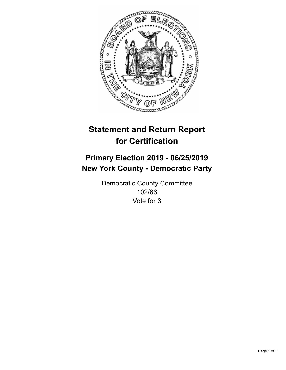

## **Statement and Return Report for Certification**

## **Primary Election 2019 - 06/25/2019 New York County - Democratic Party**

Democratic County Committee 102/66 Vote for 3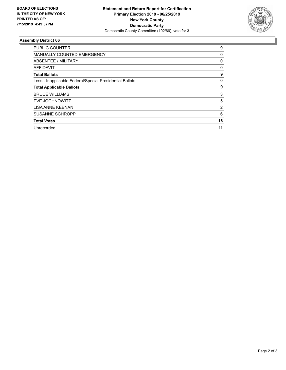

## **Assembly District 66**

| <b>PUBLIC COUNTER</b>                                    | 9  |
|----------------------------------------------------------|----|
| <b>MANUALLY COUNTED EMERGENCY</b>                        | 0  |
| ABSENTEE / MILITARY                                      | 0  |
| AFFIDAVIT                                                | 0  |
| <b>Total Ballots</b>                                     | 9  |
| Less - Inapplicable Federal/Special Presidential Ballots | 0  |
| <b>Total Applicable Ballots</b>                          | 9  |
| <b>BRUCE WILLIAMS</b>                                    | 3  |
| EVE JOCHNOWITZ                                           | 5  |
| <b>LISA ANNE KEENAN</b>                                  | 2  |
| <b>SUSANNE SCHROPP</b>                                   | 6  |
| <b>Total Votes</b>                                       | 16 |
| Unrecorded                                               | 11 |